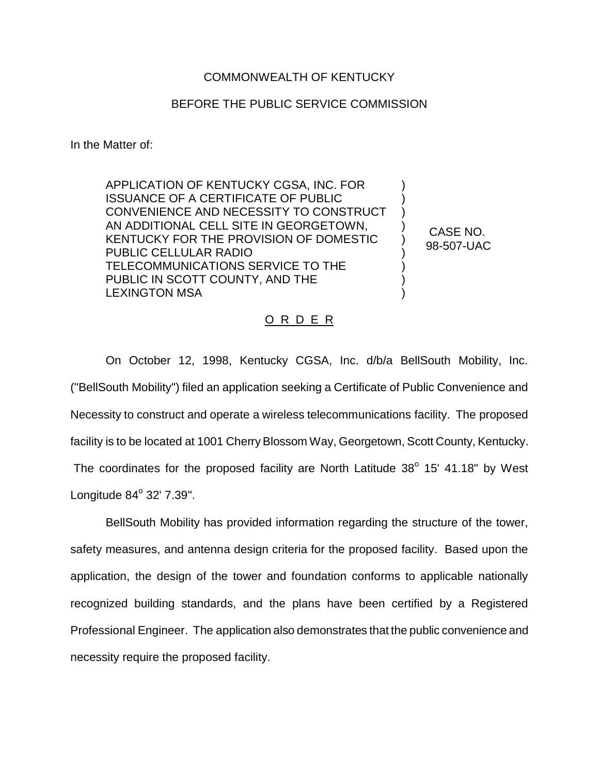## COMMONWEALTH OF KENTUCKY

## BEFORE THE PUBLIC SERVICE COMMISSION

In the Matter of:

APPLICATION OF KENTUCKY CGSA, INC. FOR ISSUANCE OF A CERTIFICATE OF PUBLIC CONVENIENCE AND NECESSITY TO CONSTRUCT AN ADDITIONAL CELL SITE IN GEORGETOWN, KENTUCKY FOR THE PROVISION OF DOMESTIC PUBLIC CELLULAR RADIO TELECOMMUNICATIONS SERVICE TO THE PUBLIC IN SCOTT COUNTY, AND THE LEXINGTON MSA

CASE NO. 98-507-UAC

) ) ) ) ) ) ) ) )

## O R D E R

On October 12, 1998, Kentucky CGSA, Inc. d/b/a BellSouth Mobility, Inc. ("BellSouth Mobility") filed an application seeking a Certificate of Public Convenience and Necessity to construct and operate a wireless telecommunications facility. The proposed facility is to be located at 1001 Cherry Blossom Way, Georgetown, Scott County, Kentucky. The coordinates for the proposed facility are North Latitude  $38^\circ$  15' 41.18" by West Longitude  $84^\circ$  32'  $7.39$ ".

BellSouth Mobility has provided information regarding the structure of the tower, safety measures, and antenna design criteria for the proposed facility. Based upon the application, the design of the tower and foundation conforms to applicable nationally recognized building standards, and the plans have been certified by a Registered Professional Engineer. The application also demonstrates that the public convenience and necessity require the proposed facility.